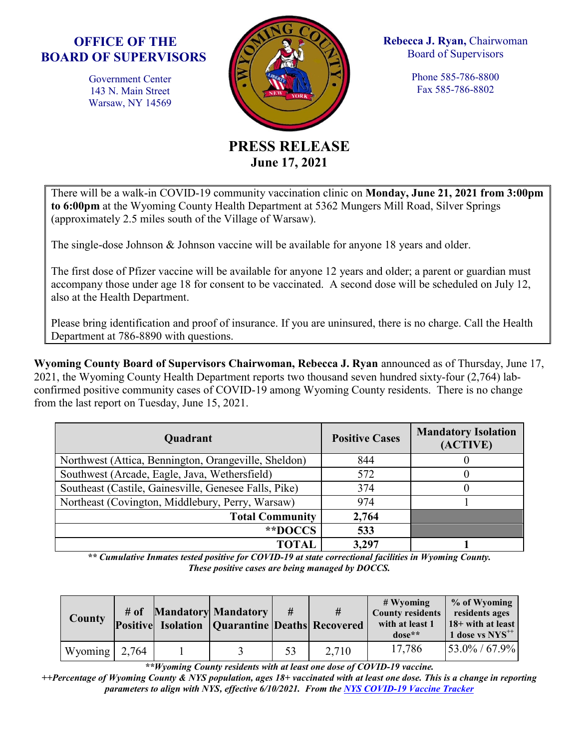## **OFFICE OF THE BOARD OF SUPERVISORS**

Government Center 143 N. Main Street Warsaw, NY 14569



**Rebecca J. Ryan,** Chairwoman Board of Supervisors

> Phone 585-786-8800 Fax 585-786-8802

## **PRESS RELEASE June 17, 2021**

There will be a walk-in COVID-19 community vaccination clinic on **Monday, June 21, 2021 from 3:00pm to 6:00pm** at the Wyoming County Health Department at 5362 Mungers Mill Road, Silver Springs (approximately 2.5 miles south of the Village of Warsaw).

The single-dose Johnson & Johnson vaccine will be available for anyone 18 years and older.

The first dose of Pfizer vaccine will be available for anyone 12 years and older; a parent or guardian must accompany those under age 18 for consent to be vaccinated. A second dose will be scheduled on July 12, also at the Health Department.

Please bring identification and proof of insurance. If you are uninsured, there is no charge. Call the Health Department at 786-8890 with questions.

**Wyoming County Board of Supervisors Chairwoman, Rebecca J. Ryan** announced as of Thursday, June 17, 2021, the Wyoming County Health Department reports two thousand seven hundred sixty-four (2,764) labconfirmed positive community cases of COVID-19 among Wyoming County residents. There is no change from the last report on Tuesday, June 15, 2021.

| Quadrant                                              | <b>Positive Cases</b> | <b>Mandatory Isolation</b><br>(ACTIVE) |  |  |
|-------------------------------------------------------|-----------------------|----------------------------------------|--|--|
| Northwest (Attica, Bennington, Orangeville, Sheldon)  | 844                   |                                        |  |  |
| Southwest (Arcade, Eagle, Java, Wethersfield)         | 572                   |                                        |  |  |
| Southeast (Castile, Gainesville, Genesee Falls, Pike) | 374                   |                                        |  |  |
| Northeast (Covington, Middlebury, Perry, Warsaw)      | 974                   |                                        |  |  |
| <b>Total Community</b>                                | 2,764                 |                                        |  |  |
| **DOCCS                                               | 533                   |                                        |  |  |
| TOTAI                                                 | 3,297                 |                                        |  |  |

*\*\* Cumulative Inmates tested positive for COVID-19 at state correctional facilities in Wyoming County. These positive cases are being managed by DOCCS.*

| <b>County</b>         |  | # of Mandatory Mandatory<br><b>Positive Isolation   Quarantine Deaths Recovered</b> | #  | #     | $#$ Wyoming<br><b>County residents</b><br>with at least 1<br>$dose**$ | % of Wyoming<br>residents ages<br>18+ with at least<br>$1$ dose vs $NYS^{++}$ |
|-----------------------|--|-------------------------------------------------------------------------------------|----|-------|-----------------------------------------------------------------------|-------------------------------------------------------------------------------|
| Wyoming $\vert$ 2,764 |  |                                                                                     | 53 | 2.710 | 17,786                                                                | $53.0\% / 67.9\%$                                                             |

*\*\*Wyoming County residents with at least one dose of COVID-19 vaccine.*

*++Percentage of Wyoming County & NYS population, ages 18+ vaccinated with at least one dose. This is a change in reporting parameters to align with NYS, effective 6/10/2021. From the NYS [COVID-19 Vaccine Tracker](https://covid19vaccine.health.ny.gov/covid-19-vaccine-tracker)*